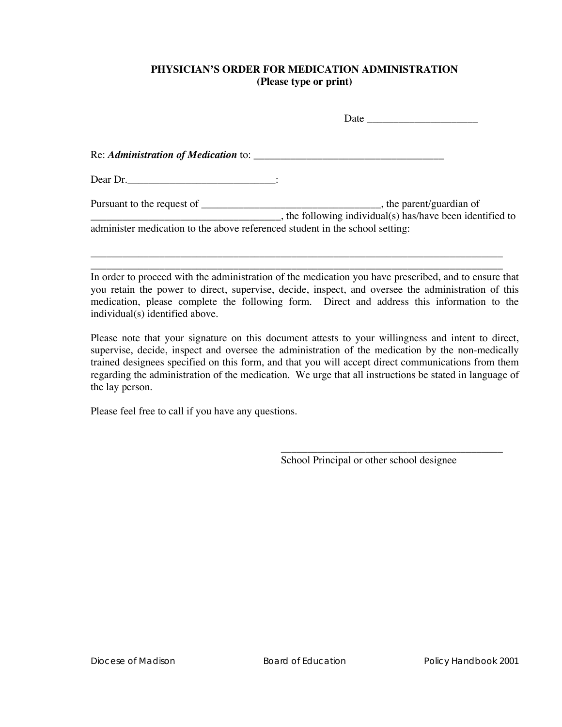# **PHYSICIAN'S ORDER FOR MEDICATION ADMINISTRATION (Please type or print)**

|                                                                              | Date                                                        |
|------------------------------------------------------------------------------|-------------------------------------------------------------|
|                                                                              |                                                             |
| Dear Dr.                                                                     |                                                             |
|                                                                              | __, the following individual(s) has/have been identified to |
| administer medication to the above referenced student in the school setting: |                                                             |

\_\_\_\_\_\_\_\_\_\_\_\_\_\_\_\_\_\_\_\_\_\_\_\_\_\_\_\_\_\_\_\_\_\_\_\_\_\_\_\_\_\_\_\_\_\_\_\_\_\_\_\_\_\_\_\_\_\_\_\_\_\_\_\_\_\_\_\_\_\_\_\_\_\_\_\_\_\_ In order to proceed with the administration of the medication you have prescribed, and to ensure that you retain the power to direct, supervise, decide, inspect, and oversee the administration of this medication, please complete the following form. Direct and address this information to the individual(s) identified above.

\_\_\_\_\_\_\_\_\_\_\_\_\_\_\_\_\_\_\_\_\_\_\_\_\_\_\_\_\_\_\_\_\_\_\_\_\_\_\_\_\_\_\_\_\_\_\_\_\_\_\_\_\_\_\_\_\_\_\_\_\_\_\_\_\_\_\_\_\_\_\_\_\_\_\_\_\_\_

Please note that your signature on this document attests to your willingness and intent to direct, supervise, decide, inspect and oversee the administration of the medication by the non-medically trained designees specified on this form, and that you will accept direct communications from them regarding the administration of the medication. We urge that all instructions be stated in language of the lay person.

Please feel free to call if you have any questions.

School Principal or other school designee

\_\_\_\_\_\_\_\_\_\_\_\_\_\_\_\_\_\_\_\_\_\_\_\_\_\_\_\_\_\_\_\_\_\_\_\_\_\_\_\_\_\_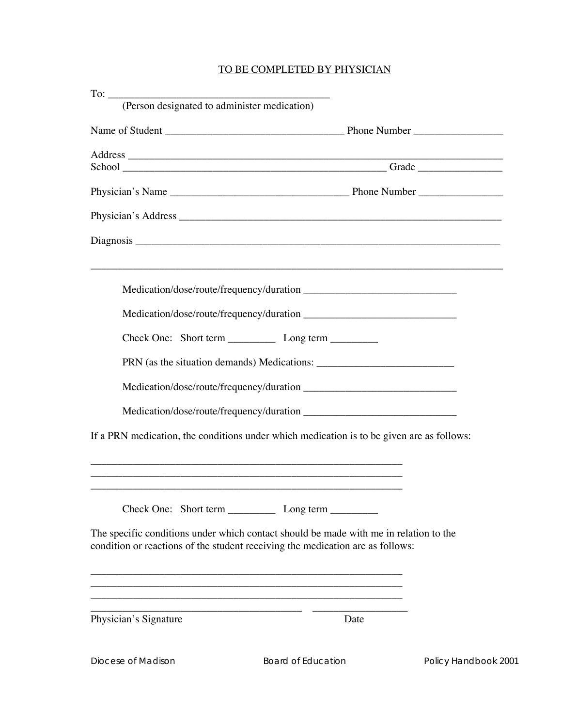# TO BE COMPLETED BY PHYSICIAN

|                       | ,我们也不能在这里的时候,我们也不能在这里的时候,我们也不能在这里的时候,我们也不能会在这里的时候,我们也不能会在这里的时候,我们也不能会在这里的时候,我们也不                                                                                        |                      |
|-----------------------|-------------------------------------------------------------------------------------------------------------------------------------------------------------------------|----------------------|
|                       |                                                                                                                                                                         |                      |
|                       |                                                                                                                                                                         |                      |
|                       |                                                                                                                                                                         |                      |
|                       |                                                                                                                                                                         |                      |
|                       |                                                                                                                                                                         |                      |
|                       | If a PRN medication, the conditions under which medication is to be given are as follows:                                                                               |                      |
|                       |                                                                                                                                                                         |                      |
|                       |                                                                                                                                                                         |                      |
|                       | The specific conditions under which contact should be made with me in relation to the<br>condition or reactions of the student receiving the medication are as follows: |                      |
|                       |                                                                                                                                                                         |                      |
| Physician's Signature | Date                                                                                                                                                                    |                      |
| Diocese of Madison    | Board of Education                                                                                                                                                      | Policy Handbook 2001 |